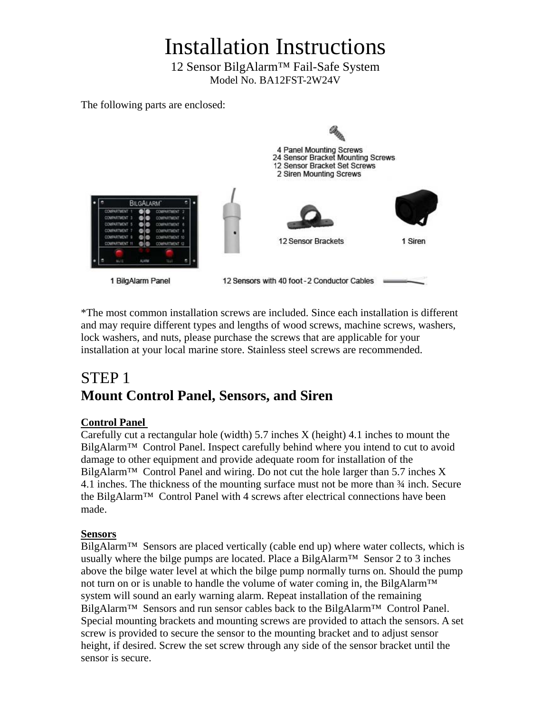# Installation Instructions

12 Sensor BilgAlarm™ Fail-Safe System Model No. BA12FST-2W24V

The following parts are enclosed:



\*The most common installation screws are included. Since each installation is different and may require different types and lengths of wood screws, machine screws, washers, lock washers, and nuts, please purchase the screws that are applicable for your installation at your local marine store. Stainless steel screws are recommended.

# STEP 1 **Mount Control Panel, Sensors, and Siren**

#### **Control Panel**

Carefully cut a rectangular hole (width) 5.7 inches X (height) 4.1 inches to mount the BilgAlarm™ Control Panel. Inspect carefully behind where you intend to cut to avoid damage to other equipment and provide adequate room for installation of the BilgAlarm<sup>™</sup> Control Panel and wiring. Do not cut the hole larger than 5.7 inches X 4.1 inches. The thickness of the mounting surface must not be more than  $\frac{3}{4}$  inch. Secure the BilgAlarm™ Control Panel with 4 screws after electrical connections have been made.

#### **Sensors**

BilgAlarm<sup>™</sup> Sensors are placed vertically (cable end up) where water collects, which is usually where the bilge pumps are located. Place a BilgAlarm™ Sensor 2 to 3 inches above the bilge water level at which the bilge pump normally turns on. Should the pump not turn on or is unable to handle the volume of water coming in, the BilgAlarm<sup>™</sup> system will sound an early warning alarm. Repeat installation of the remaining BilgAlarm<sup>™</sup> Sensors and run sensor cables back to the BilgAlarm<sup>™</sup> Control Panel. Special mounting brackets and mounting screws are provided to attach the sensors. A set screw is provided to secure the sensor to the mounting bracket and to adjust sensor height, if desired. Screw the set screw through any side of the sensor bracket until the sensor is secure.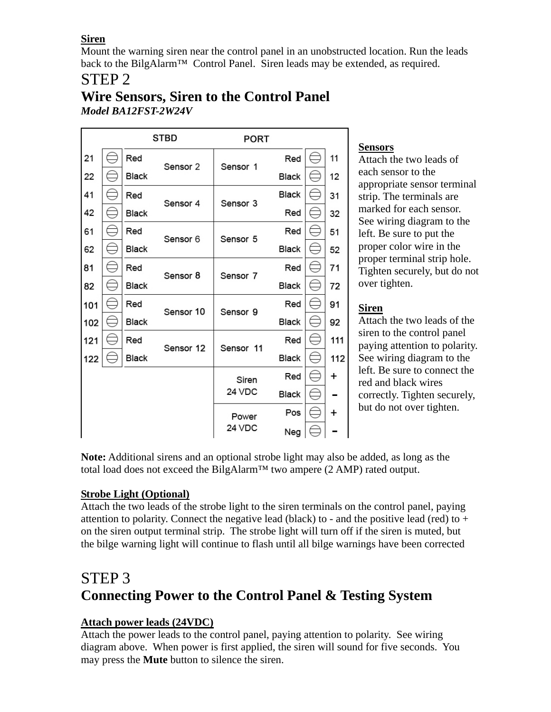**Siren**

Mount the warning siren near the control panel in an unobstructed location. Run the leads back to the BilgAlarm™ Control Panel. Siren leads may be extended, as required.

# STEP 2

| <b>Wire Sensors, Siren to the Control Panel</b> |  |  |
|-------------------------------------------------|--|--|
| Model BA12FST-2W24V                             |  |  |

|     |              | STBD      | <b>PORT</b> |       |     |
|-----|--------------|-----------|-------------|-------|-----|
| 21  | Red          | Sensor 2  | Sensor 1    | Red   | 11  |
| 22  | <b>Black</b> |           |             | Black | 12  |
| 41  | Red          | Sensor 4  | Sensor 3    | Black | 31  |
| 42  | Black        |           |             | Red   | 32  |
| 61  | Red          | Sensor 6  | Sensor 5    | Red   | 51  |
| 62  | Black        |           |             | Black | 52  |
| 81  | Red          | Sensor 8  | Sensor 7    | Red   | 71  |
| 82  | Black        |           |             | Black | 72  |
| 101 | Red          | Sensor 10 | Sensor 9    | Red   | 91  |
| 102 | Black        |           |             | Black | 92  |
| 121 | Red          | Sensor 12 | Sensor 11   | Red   | 111 |
| 122 | Black        |           |             | Black | 112 |
|     |              |           | Siren       | Red   | +   |
|     |              |           | 24 VDC      | Black |     |
|     |              |           | Power       | Pos   | +   |
|     |              |           | 24 VDC      | Neg   |     |

# **Sensors**

Attach the two leads of each sensor to the appropriate sensor terminal strip. The terminals are marked for each sensor. See wiring diagram to the left. Be sure to put the proper color wire in the proper terminal strip hole. Tighten securely, but do not over tighten.

## **Siren**

Attach the two leads of the siren to the control panel paying attention to polarity. See wiring diagram to the left. Be sure to connect the red and black wires correctly. Tighten securely, but do not over tighten.

**Note:** Additional sirens and an optional strobe light may also be added, as long as the total load does not exceed the BilgAlarm<sup>TM</sup> two ampere  $(2$  AMP) rated output.

## **Strobe Light (Optional)**

Attach the two leads of the strobe light to the siren terminals on the control panel, paying attention to polarity. Connect the negative lead (black) to - and the positive lead (red) to  $+$ on the siren output terminal strip. The strobe light will turn off if the siren is muted, but the bilge warning light will continue to flash until all bilge warnings have been corrected

# STEP 3 **Connecting Power to the Control Panel & Testing System**

### **Attach power leads (24VDC)**

Attach the power leads to the control panel, paying attention to polarity. See wiring diagram above. When power is first applied, the siren will sound for five seconds. You may press the **Mute** button to silence the siren.